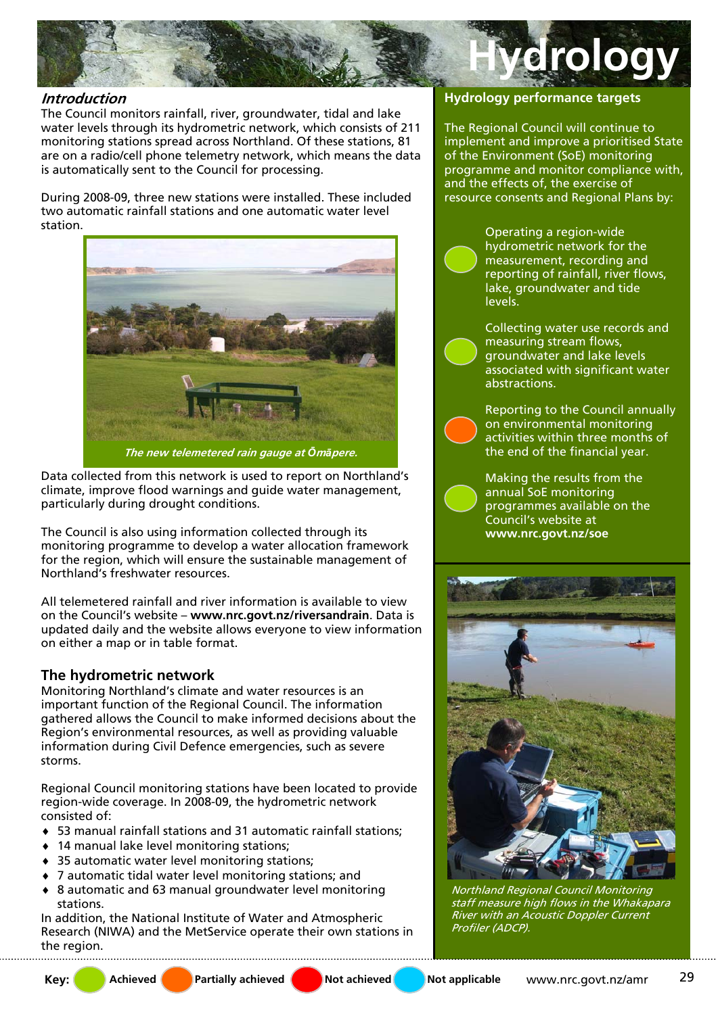

## **Introduction**

The Council monitors rainfall, river, groundwater, tidal and lake water levels through its hydrometric network, which consists of 211 monitoring stations spread across Northland. Of these stations, 81 are on a radio/cell phone telemetry network, which means the data is automatically sent to the Council for processing.

During 2008-09, three new stations were installed. These included two automatic rainfall stations and one automatic water level station.



Data collected from this network is used to report on Northland's climate, improve flood warnings and guide water management, particularly during drought conditions.

The Council is also using information collected through its monitoring programme to develop a water allocation framework for the region, which will ensure the sustainable management of Northland's freshwater resources.

All telemetered rainfall and river information is available to view on the Council's website – **www.nrc.govt.nz/riversandrain**. Data is updated daily and the website allows everyone to view information on either a map or in table format.

# **The hydrometric network**

Monitoring Northland's climate and water resources is an important function of the Regional Council. The information gathered allows the Council to make informed decisions about the Region's environmental resources, as well as providing valuable information during Civil Defence emergencies, such as severe storms.

Regional Council monitoring stations have been located to provide region-wide coverage. In 2008-09, the hydrometric network consisted of:

- ♦ 53 manual rainfall stations and 31 automatic rainfall stations;
- ♦ 14 manual lake level monitoring stations;
- ♦ 35 automatic water level monitoring stations;
- ♦ 7 automatic tidal water level monitoring stations; and
- ♦ 8 automatic and 63 manual groundwater level monitoring stations.

In addition, the National Institute of Water and Atmospheric Research (NIWA) and the MetService operate their own stations in the region.

#### **Hydrology performance targets**

The Regional Council will continue to implement and improve a prioritised State of the Environment (SoE) monitoring programme and monitor compliance with, and the effects of, the exercise of resource consents and Regional Plans by:

> Operating a region-wide hydrometric network for the measurement, recording and reporting of rainfall, river flows, lake, groundwater and tide levels.

Collecting water use records and measuring stream flows, groundwater and lake levels associated with significant water abstractions.

Reporting to the Council annually on environmental monitoring activities within three months of the end of the financial year.

Making the results from the annual SoE monitoring programmes available on the Council's website at **www.nrc.govt.nz/soe**



Northland Regional Council Monitoring staff measure high flows in the Whakapara River with an Acoustic Doppler Current Profiler (ADCP).